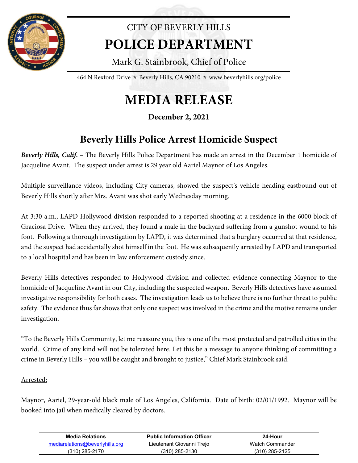

## CITY OF BEVERLY HILLS **POLICE DEPARTMENT**

Mark G. Stainbrook, Chief of Police

464 N Rexford Drive  $\star$  Beverly Hills, CA 90210  $\star$  www.beverlyhills.org/police

## **MEDIA RELEASE**

**December 2, 2021**

## **Beverly Hills Police Arrest Homicide Suspect**

*Beverly Hills, Calif.* – The Beverly Hills Police Department has made an arrest in the December 1 homicide of Jacqueline Avant. The suspect under arrest is 29 year old Aariel Maynor of Los Angeles.

Multiple surveillance videos, including City cameras, showed the suspect's vehicle heading eastbound out of Beverly Hills shortly after Mrs. Avant was shot early Wednesday morning.

At 3:30 a.m., LAPD Hollywood division responded to a reported shooting at a residence in the 6000 block of Graciosa Drive. When they arrived, they found a male in the backyard suffering from a gunshot wound to his foot. Following a thorough investigation by LAPD, it was determined that a burglary occurred at that residence, and the suspect had accidentally shot himself in the foot. He was subsequently arrested by LAPD and transported to a local hospital and has been in law enforcement custody since.

Beverly Hills detectives responded to Hollywood division and collected evidence connecting Maynor to the homicide of Jacqueline Avant in our City, including the suspected weapon. Beverly Hills detectives have assumed investigative responsibility for both cases. The investigation leads us to believe there is no further threat to public safety. The evidence thus far shows that only one suspect was involved in the crime and the motive remains under investigation.

"To the Beverly Hills Community, let me reassure you, this is one of the most protected and patrolled cities in the world. Crime of any kind will not be tolerated here. Let this be a message to anyone thinking of committing a crime in Beverly Hills – you will be caught and brought to justice," Chief Mark Stainbrook said.

## Arrested:

Maynor, Aariel, 29-year-old black male of Los Angeles, California. Date of birth: 02/01/1992. Maynor will be booked into jail when medically cleared by doctors.

| Media Relations                 | <b>Public Information Officer</b> | 24-Hour          |
|---------------------------------|-----------------------------------|------------------|
| mediarelations@beverlyhills.org | Lieutenant Giovanni Trejo         | Watch Commander  |
| $(310)$ 285-2170                | $(310)$ 285-2130                  | $(310)$ 285-2125 |
|                                 |                                   |                  |